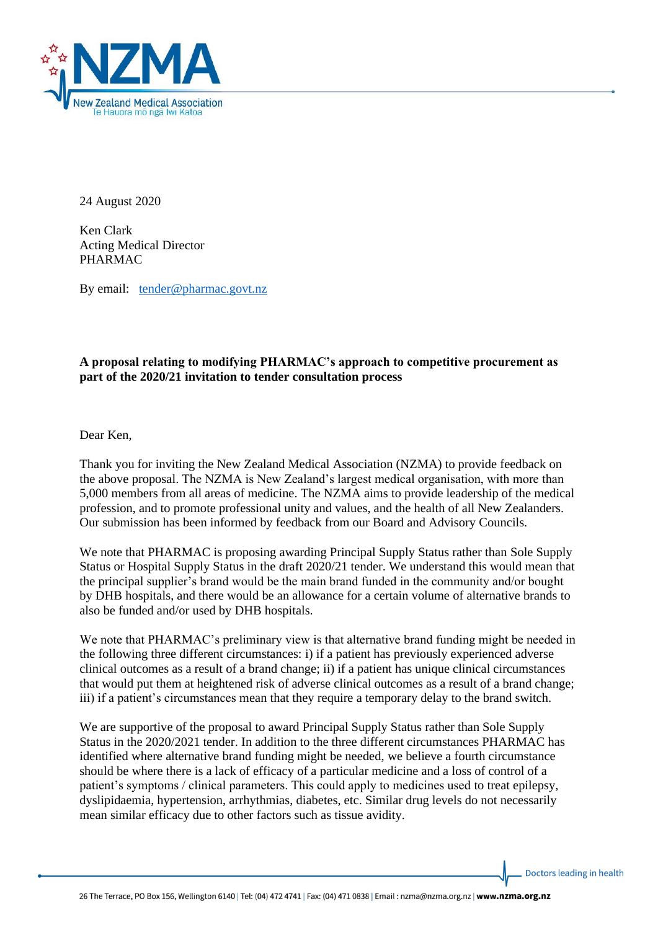

24 August 2020

Ken Clark Acting Medical Director PHARMAC

By email: [tender@pharmac.govt.nz](mailto:tender@pharmac.govt.nz)

## **A proposal relating to modifying PHARMAC's approach to competitive procurement as part of the 2020/21 invitation to tender consultation process**

Dear Ken,

Thank you for inviting the New Zealand Medical Association (NZMA) to provide feedback on the above proposal. The NZMA is New Zealand's largest medical organisation, with more than 5,000 members from all areas of medicine. The NZMA aims to provide leadership of the medical profession, and to promote professional unity and values, and the health of all New Zealanders. Our submission has been informed by feedback from our Board and Advisory Councils.

We note that PHARMAC is proposing awarding Principal Supply Status rather than Sole Supply Status or Hospital Supply Status in the draft 2020/21 tender. We understand this would mean that the principal supplier's brand would be the main brand funded in the community and/or bought by DHB hospitals, and there would be an allowance for a certain volume of alternative brands to also be funded and/or used by DHB hospitals.

We note that PHARMAC's preliminary view is that alternative brand funding might be needed in the following three different circumstances: i) if a patient has previously experienced adverse clinical outcomes as a result of a brand change; ii) if a patient has unique clinical circumstances that would put them at heightened risk of adverse clinical outcomes as a result of a brand change; iii) if a patient's circumstances mean that they require a temporary delay to the brand switch.

We are supportive of the proposal to award Principal Supply Status rather than Sole Supply Status in the 2020/2021 tender. In addition to the three different circumstances PHARMAC has identified where alternative brand funding might be needed, we believe a fourth circumstance should be where there is a lack of efficacy of a particular medicine and a loss of control of a patient's symptoms / clinical parameters. This could apply to medicines used to treat epilepsy, dyslipidaemia, hypertension, arrhythmias, diabetes, etc. Similar drug levels do not necessarily mean similar efficacy due to other factors such as tissue avidity.

Doctors leading in health